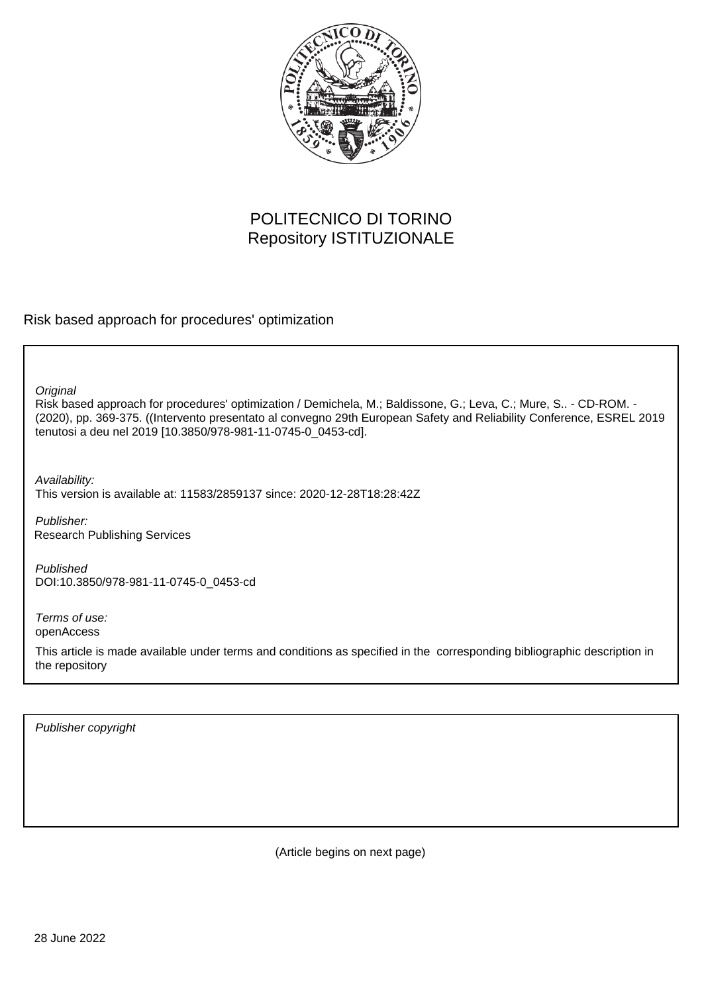

# POLITECNICO DI TORINO Repository ISTITUZIONALE

Risk based approach for procedures' optimization

**Original** 

Risk based approach for procedures' optimization / Demichela, M.; Baldissone, G.; Leva, C.; Mure, S.. - CD-ROM. - (2020), pp. 369-375. ((Intervento presentato al convegno 29th European Safety and Reliability Conference, ESREL 2019 tenutosi a deu nel 2019 [10.3850/978-981-11-0745-0\_0453-cd].

Availability:

This version is available at: 11583/2859137 since: 2020-12-28T18:28:42Z

Publisher: Research Publishing Services

Published DOI:10.3850/978-981-11-0745-0\_0453-cd

Terms of use: openAccess

This article is made available under terms and conditions as specified in the corresponding bibliographic description in the repository

Publisher copyright

(Article begins on next page)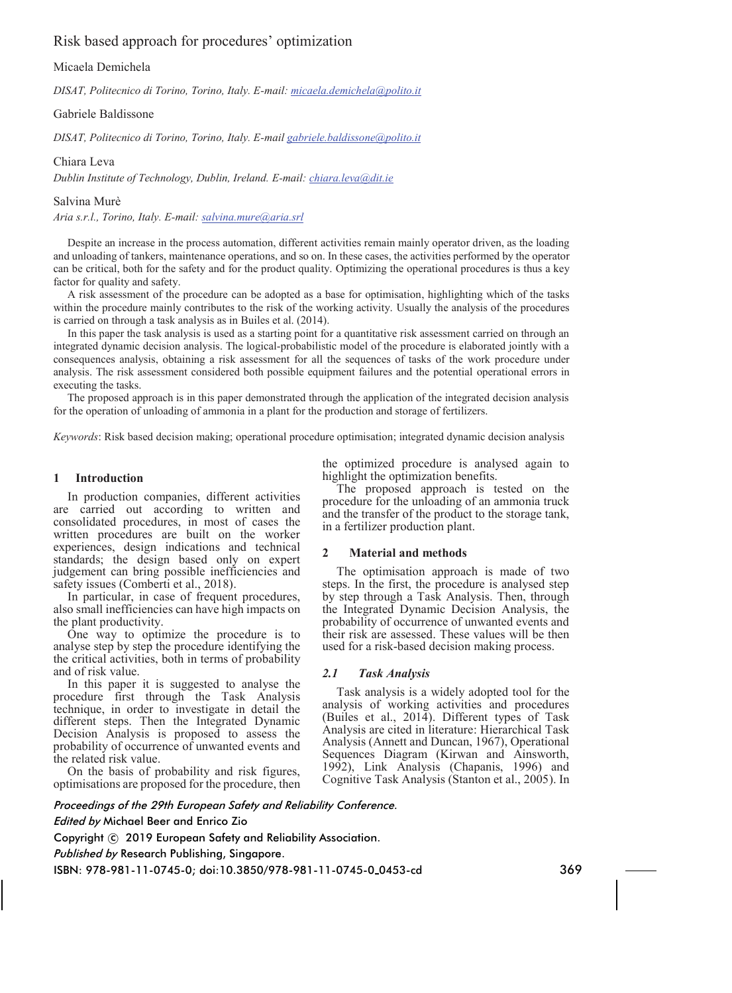# Risk based approach for procedures' optimization

Micaela Demichela

*DISAT, Politecnico di Torino, Torino, Italy. E-mail: micaela.demichela@polito.it* 

Gabriele Baldissone

*DISAT, Politecnico di Torino, Torino, Italy. E-mail gabriele.baldissone@polito.it*

Chiara Leva

*Dublin Institute of Technology, Dublin, Ireland. E-mail: chiara.leva@dit.ie*

Salvina Murè

*Aria s.r.l., Torino, Italy. E-mail: salvina.mure@aria.srl*

Despite an increase in the process automation, different activities remain mainly operator driven, as the loading and unloading of tankers, maintenance operations, and so on. In these cases, the activities performed by the operator can be critical, both for the safety and for the product quality. Optimizing the operational procedures is thus a key factor for quality and safety.

A risk assessment of the procedure can be adopted as a base for optimisation, highlighting which of the tasks within the procedure mainly contributes to the risk of the working activity. Usually the analysis of the procedures is carried on through a task analysis as in Builes et al. (2014).

In this paper the task analysis is used as a starting point for a quantitative risk assessment carried on through an integrated dynamic decision analysis. The logical-probabilistic model of the procedure is elaborated jointly with a consequences analysis, obtaining a risk assessment for all the sequences of tasks of the work procedure under analysis. The risk assessment considered both possible equipment failures and the potential operational errors in executing the tasks.

The proposed approach is in this paper demonstrated through the application of the integrated decision analysis for the operation of unloading of ammonia in a plant for the production and storage of fertilizers.

*Keywords*: Risk based decision making; operational procedure optimisation; integrated dynamic decision analysis

#### **1 Introduction**

In production companies, different activities are carried out according to written and consolidated procedures, in most of cases the written procedures are built on the worker experiences, design indications and technical standards; the design based only on expert judgement can bring possible inefficiencies and safety issues (Comberti et al., 2018).

In particular, in case of frequent procedures, also small inefficiencies can have high impacts on the plant productivity.

One way to optimize the procedure is to analyse step by step the procedure identifying the the critical activities, both in terms of probability and of risk value.

In this paper it is suggested to analyse the procedure first through the Task Analysis technique, in order to investigate in detail the different steps. Then the Integrated Dynamic Decision Analysis is proposed to assess the probability of occurrence of unwanted events and the related risk value.

On the basis of probability and risk figures, optimisations are proposed for the procedure, then the optimized procedure is analysed again to highlight the optimization benefits.

The proposed approach is tested on the procedure for the unloading of an ammonia truck and the transfer of the product to the storage tank, in a fertilizer production plant.

# **2 Material and methods**

The optimisation approach is made of two steps. In the first, the procedure is analysed step by step through a Task Analysis. Then, through the Integrated Dynamic Decision Analysis, the probability of occurrence of unwanted events and their risk are assessed. These values will be then used for a risk-based decision making process.

#### *2.1 Task Analysis*

Task analysis is a widely adopted tool for the analysis of working activities and procedures (Builes et al., 2014). Different types of Task Analysis are cited in literature: Hierarchical Task Analysis (Annett and Duncan, 1967), Operational Sequences Diagram (Kirwan and Ainsworth, 1992), Link Analysis (Chapanis, 1996) and Cognitive Task Analysis (Stanton et al., 2005). In

*Proceedings of the 29th European Safety and Reliability Conference.*

## *Edited by* Michael Beer and Enrico Zio

Copyright © 2019 European Safety and Reliability Association.

*Published by* Research Publishing, Singapore.

ISBN: 978-981-11-0745-0; doi:10.3850/978-981-11-0745-0 0453-cd 369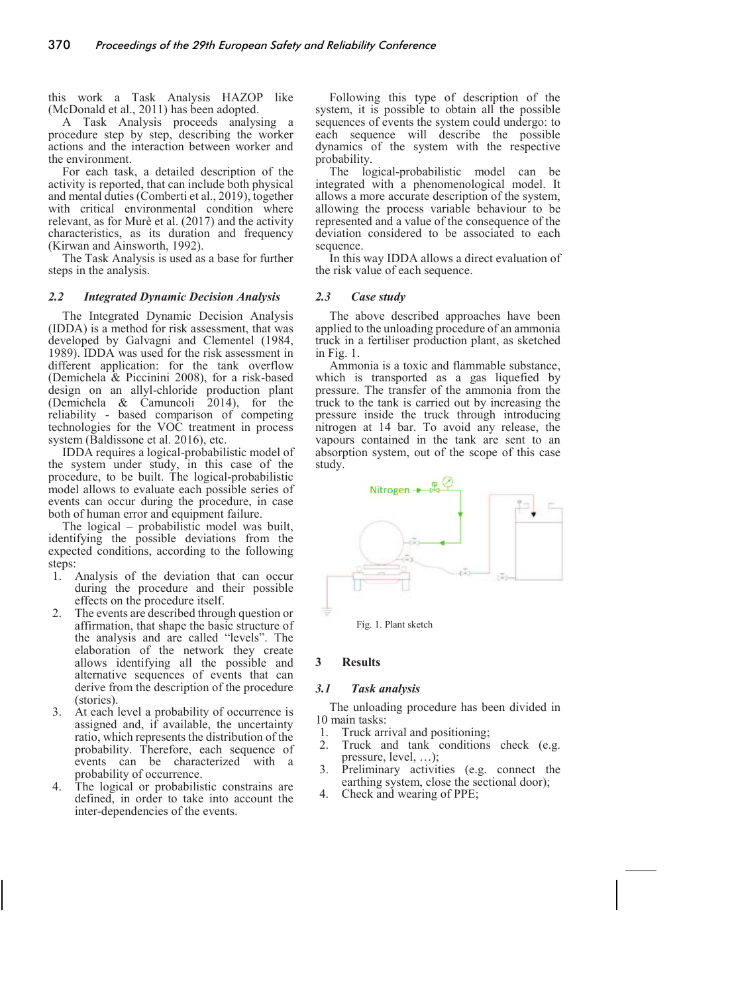this work a Task Analysis HAZOP like (McDonald et al., 2011) has been adopted.

A Task Analysis proceeds analysing a procedure step by step, describing the worker actions and the interaction between worker and the environment.

For each task, a detailed description of the activity is reported, that can include both physical and mental duties (Comberti et al., 2019), together with critical environmental condition where relevant, as for Murè et al. (2017) and the activity characteristics, as its duration and frequency (Kirwan and Ainsworth, 1992).

The Task Analysis is used as a base for further steps in the analysis.

#### *2.2 Integrated Dynamic Decision Analysis*

The Integrated Dynamic Decision Analysis (IDDA) is a method for risk assessment, that was developed by Galvagni and Clementel (1984, 1989). IDDA was used for the risk assessment in different application: for the tank overflow (Demichela & Piccinini 2008), for a risk-based design on an allyl-chloride production plant (Demichela & Camuncoli 2014), for the reliability - based comparison of competing technologies for the VOC treatment in process system (Baldissone et al. 2016), etc.

IDDA requires a logical-probabilistic model of the system under study, in this case of the procedure, to be built. The logical-probabilistic model allows to evaluate each possible series of events can occur during the procedure, in case both of human error and equipment failure.

The logical – probabilistic model was built, identifying the possible deviations from the expected conditions, according to the following steps:

- 1. Analysis of the deviation that can occur during the procedure and their possible effects on the procedure itself.
- 2. The events are described through question or affirmation, that shape the basic structure of the analysis and are called "levels". The elaboration of the network they create allows identifying all the possible and alternative sequences of events that can derive from the description of the procedure (stories).
- 3. At each level a probability of occurrence is assigned and, if available, the uncertainty ratio, which represents the distribution of the probability. Therefore, each sequence of events can be characterized with a probability of occurrence.
- 4. The logical or probabilistic constrains are defined, in order to take into account the inter-dependencies of the events.

Following this type of description of the system, it is possible to obtain all the possible sequences of events the system could undergo: to each sequence will describe the possible dynamics of the system with the respective probability.

The logical-probabilistic model can be integrated with a phenomenological model. It allows a more accurate description of the system, allowing the process variable behaviour to be represented and a value of the consequence of the deviation considered to be associated to each sequence.

In this way IDDA allows a direct evaluation of the risk value of each sequence.

# *2.3 Case study*

The above described approaches have been applied to the unloading procedure of an ammonia truck in a fertiliser production plant, as sketched in Fig. 1.

Ammonia is a toxic and flammable substance, which is transported as a gas liquefied by pressure. The transfer of the ammonia from the truck to the tank is carried out by increasing the pressure inside the truck through introducing nitrogen at 14 bar. To avoid any release, the vapours contained in the tank are sent to an absorption system, out of the scope of this case study.



Fig. 1. Plant sketch

# **3 Results**

# *3.1 Task analysis*

The unloading procedure has been divided in 10 main tasks:

- 1. Truck arrival and positioning;<br>2. Truck and tank conditions
- Truck and tank conditions check (e.g. pressure, level, …);
- 3. Preliminary activities (e.g. connect the earthing system, close the sectional door);
- 4. Check and wearing of PPE;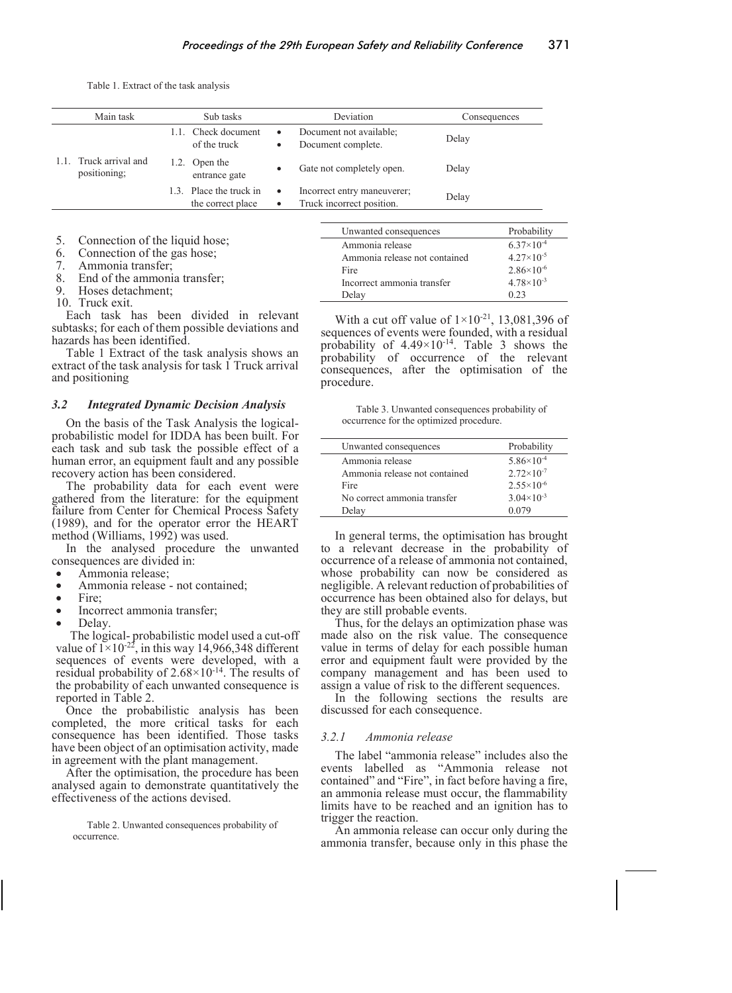Table 1. Extract of the task analysis

| Main task                              | Sub tasks                                    | Deviation                                                | Consequences |
|----------------------------------------|----------------------------------------------|----------------------------------------------------------|--------------|
| 1.1. Truck arrival and<br>positioning; | 1.1. Check document<br>of the truck          | Document not available;<br>Document complete.            | Delay        |
|                                        | Open the<br>entrance gate                    | Gate not completely open.                                | Delay        |
|                                        | 1.3. Place the truck in<br>the correct place | Incorrect entry maneuverer;<br>Truck incorrect position. | Delay        |

6. Connection of the gas hose;

7. Ammonia transfer;

8. End of the ammonia transfer;

9. Hoses detachment;

10. Truck exit.

Each task has been divided in relevant subtasks; for each of them possible deviations and hazards has been identified.

Table 1 Extract of the task analysis shows an extract of the task analysis for task 1 Truck arrival and positioning

#### *3.2 Integrated Dynamic Decision Analysis*

On the basis of the Task Analysis the logicalprobabilistic model for IDDA has been built. For each task and sub task the possible effect of a human error, an equipment fault and any possible recovery action has been considered.

The probability data for each event were gathered from the literature: for the equipment failure from Center for Chemical Process Safety (1989), and for the operator error the HEART method (Williams, 1992) was used.

In the analysed procedure the unwanted consequences are divided in:

- Ammonia release;
- Ammonia release not contained;
- Fire<sup>.</sup>
- Incorrect ammonia transfer;
- Delay.

The logical- probabilistic model used a cut-off value of  $1 \times 10^{-22}$ , in this way 14,966,348 different sequences of events were developed, with a residual probability of  $2.68 \times 10^{-14}$ . The results of the probability of each unwanted consequence is reported in Table 2.

Once the probabilistic analysis has been completed, the more critical tasks for each consequence has been identified. Those tasks have been object of an optimisation activity, made in agreement with the plant management.

After the optimisation, the procedure has been analysed again to demonstrate quantitatively the effectiveness of the actions devised.

Table 2. Unwanted consequences probability of occurrence.

With a cut off value of  $1 \times 10^{-21}$ , 13,081,396 of sequences of events were founded, with a residual probability of  $4.49 \times 10^{-14}$ . Table 3 shows the probability of occurrence of the relevant consequences, after the optimisation of the procedure.

Delay 0.23

Unwanted consequences Probability Ammonia release  $6.37\times10^{-4}$ Ammonia release not contained  $4.27 \times 10^{-5}$ Fire  $2.86 \times 10^{-6}$ <br>Incorrect ammonia transfer  $4.78 \times 10^{-3}$ 

Incorrect ammonia transfer

| Table 3. Unwanted consequences probability of |  |
|-----------------------------------------------|--|
| occurrence for the optimized procedure.       |  |

| Unwanted consequences         | Probability           |
|-------------------------------|-----------------------|
| Ammonia release               | $5.86 \times 10^{-4}$ |
| Ammonia release not contained | $2.72 \times 10^{-7}$ |
| Fire                          | $2.55 \times 10^{-6}$ |
| No correct ammonia transfer   | $3.04 \times 10^{-3}$ |
| Delav                         | 0.079                 |

In general terms, the optimisation has brought to a relevant decrease in the probability of occurrence of a release of ammonia not contained, whose probability can now be considered as negligible. A relevant reduction of probabilities of occurrence has been obtained also for delays, but they are still probable events.

Thus, for the delays an optimization phase was made also on the risk value. The consequence value in terms of delay for each possible human error and equipment fault were provided by the company management and has been used to assign a value of risk to the different sequences.

In the following sections the results are discussed for each consequence.

#### *3.2.1 Ammonia release*

The label "ammonia release" includes also the events labelled as "Ammonia release not contained" and "Fire", in fact before having a fire, an ammonia release must occur, the flammability limits have to be reached and an ignition has to trigger the reaction.

An ammonia release can occur only during the ammonia transfer, because only in this phase the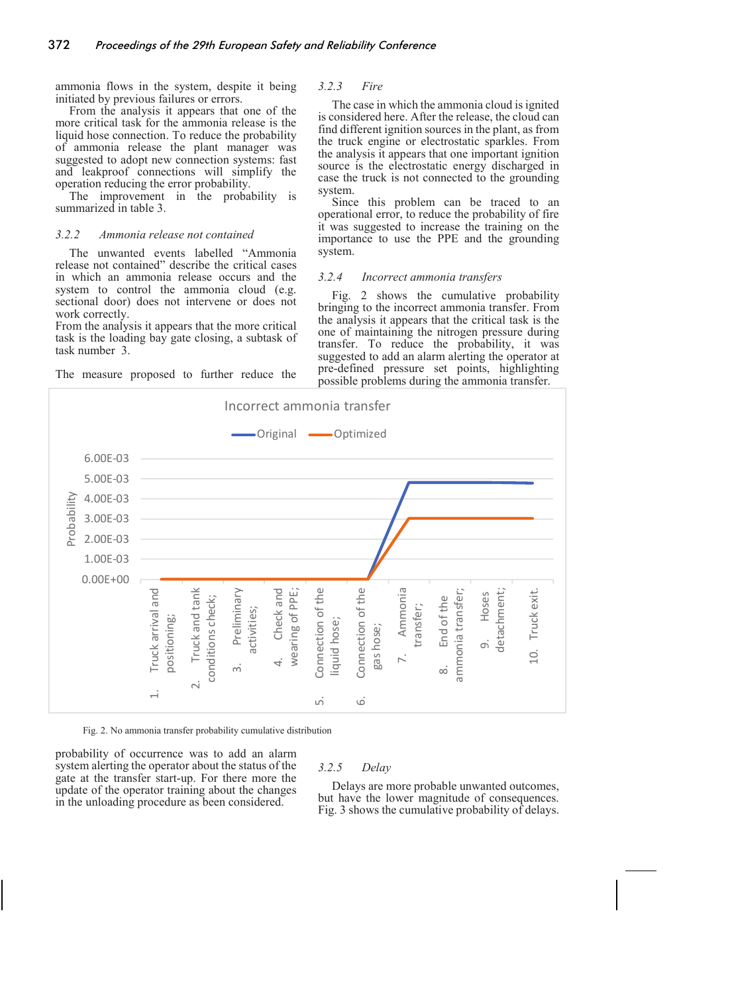ammonia flows in the system, despite it being initiated by previous failures or errors.

#### From the analysis it appears that one of the more critical task for the ammonia release is the liquid hose connection. To reduce the probability of ammonia release the plant manager was suggested to adopt new connection systems: fast and leakproof connections will simplify the operation reducing the error probability.

The improvement in the probability is summarized in table 3.

## *3.2.2 Ammonia release not contained*

The unwanted events labelled "Ammonia release not contained" describe the critical cases in which an ammonia release occurs and the system to control the ammonia cloud (e.g. sectional door) does not intervene or does not work correctly.

From the analysis it appears that the more critical task is the loading bay gate closing, a subtask of task number 3.

The measure proposed to further reduce the

#### *3.2.3 Fire*

The case in which the ammonia cloud is ignited is considered here. After the release, the cloud can find different ignition sources in the plant, as from the truck engine or electrostatic sparkles. From the analysis it appears that one important ignition source is the electrostatic energy discharged in case the truck is not connected to the grounding system.

Since this problem can be traced to an operational error, to reduce the probability of fire it was suggested to increase the training on the importance to use the PPE and the grounding system.

#### *3.2.4 Incorrect ammonia transfers*

Fig. 2 shows the cumulative probability bringing to the incorrect ammonia transfer. From the analysis it appears that the critical task is the one of maintaining the nitrogen pressure during transfer. To reduce the probability, it was suggested to add an alarm alerting the operator at pre-defined pressure set points, highlighting possible problems during the ammonia transfer.



Fig. 2. No ammonia transfer probability cumulative distribution

probability of occurrence was to add an alarm system alerting the operator about the status of the gate at the transfer start-up. For there more the update of the operator training about the changes in the unloading procedure as been considered.

#### *3.2.5 Delay*

Delays are more probable unwanted outcomes, but have the lower magnitude of consequences. Fig. 3 shows the cumulative probability of delays.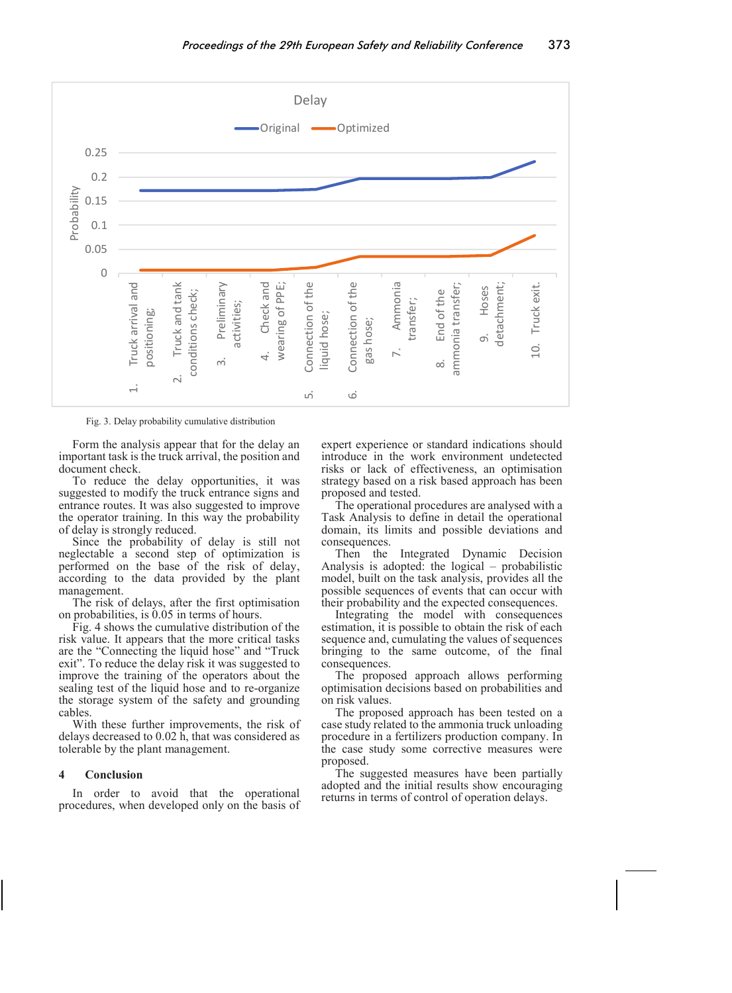

Fig. 3. Delay probability cumulative distribution

Form the analysis appear that for the delay an important task is the truck arrival, the position and document check.

To reduce the delay opportunities, it was suggested to modify the truck entrance signs and entrance routes. It was also suggested to improve the operator training. In this way the probability of delay is strongly reduced.

Since the probability of delay is still not neglectable a second step of optimization is performed on the base of the risk of delay, according to the data provided by the plant management.

The risk of delays, after the first optimisation on probabilities, is 0.05 in terms of hours.

Fig. 4 shows the cumulative distribution of the risk value. It appears that the more critical tasks are the "Connecting the liquid hose" and "Truck exit". To reduce the delay risk it was suggested to improve the training of the operators about the sealing test of the liquid hose and to re-organize the storage system of the safety and grounding cables.

With these further improvements, the risk of delays decreased to 0.02 h, that was considered as tolerable by the plant management.

#### **4 Conclusion**

In order to avoid that the operational procedures, when developed only on the basis of expert experience or standard indications should introduce in the work environment undetected risks or lack of effectiveness, an optimisation strategy based on a risk based approach has been proposed and tested.

The operational procedures are analysed with a Task Analysis to define in detail the operational domain, its limits and possible deviations and consequences.

Then the Integrated Dynamic Decision Analysis is adopted: the logical – probabilistic model, built on the task analysis, provides all the possible sequences of events that can occur with their probability and the expected consequences.

Integrating the model with consequences estimation, it is possible to obtain the risk of each sequence and, cumulating the values of sequences bringing to the same outcome, of the final consequences.

The proposed approach allows performing optimisation decisions based on probabilities and on risk values.

The proposed approach has been tested on a case study related to the ammonia truck unloading procedure in a fertilizers production company. In the case study some corrective measures were proposed.

The suggested measures have been partially adopted and the initial results show encouraging returns in terms of control of operation delays.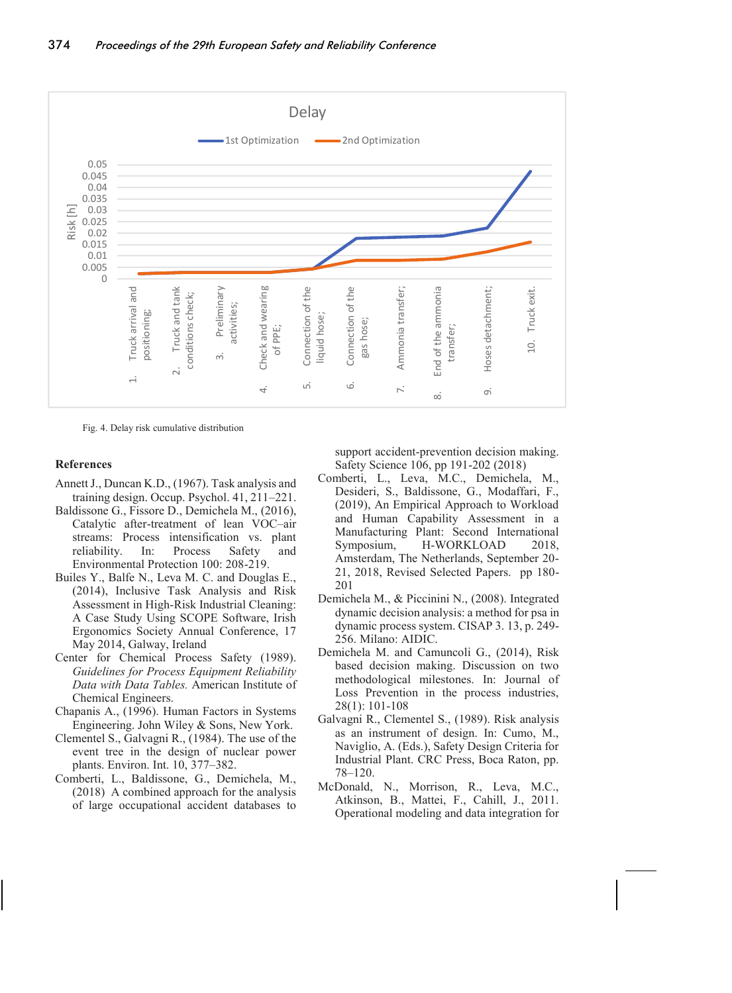

Fig. 4. Delay risk cumulative distribution

# **References**

- Annett J., Duncan K.D., (1967). Task analysis and training design. Occup. Psychol. 41, 211–221.
- Baldissone G., Fissore D., Demichela M., (2016), Catalytic after-treatment of lean VOC–air streams: Process intensification vs. plant reliability. In: Process Safety and Environmental Protection 100: 208-219.
- Builes Y., Balfe N., Leva M. C. and Douglas E., (2014), Inclusive Task Analysis and Risk Assessment in High-Risk Industrial Cleaning: A Case Study Using SCOPE Software, Irish Ergonomics Society Annual Conference, 17 May 2014, Galway, Ireland
- Center for Chemical Process Safety (1989). *Guidelines for Process Equipment Reliability Data with Data Tables.* American Institute of Chemical Engineers.
- Chapanis A., (1996). Human Factors in Systems Engineering. John Wiley & Sons, New York.
- Clementel S., Galvagni R., (1984). The use of the event tree in the design of nuclear power plants. Environ. Int. 10, 377–382.
- Comberti, L., Baldissone, G., Demichela, M., (2018) A combined approach for the analysis of large occupational accident databases to

support accident-prevention decision making. Safety Science 106, pp 191-202 (2018)

- Comberti, L., Leva, M.C., Demichela, M., Desideri, S., Baldissone, G., Modaffari, F., (2019), An Empirical Approach to Workload and Human Capability Assessment in a Manufacturing Plant: Second International Symposium, H-WORKLOAD 2018, Amsterdam, The Netherlands, September 20- 21, 2018, Revised Selected Papers. pp 180- 201
- Demichela M., & Piccinini N., (2008). Integrated dynamic decision analysis: a method for psa in dynamic process system. CISAP 3. 13, p. 249- 256. Milano: AIDIC.
- Demichela M. and Camuncoli G., (2014), Risk based decision making. Discussion on two methodological milestones. In: Journal of Loss Prevention in the process industries, 28(1): 101-108
- Galvagni R., Clementel S., (1989). Risk analysis as an instrument of design. In: Cumo, M., Naviglio, A. (Eds.), Safety Design Criteria for Industrial Plant. CRC Press, Boca Raton, pp. 78–120.
- McDonald, N., Morrison, R., Leva, M.C., Atkinson, B., Mattei, F., Cahill, J., 2011. Operational modeling and data integration for